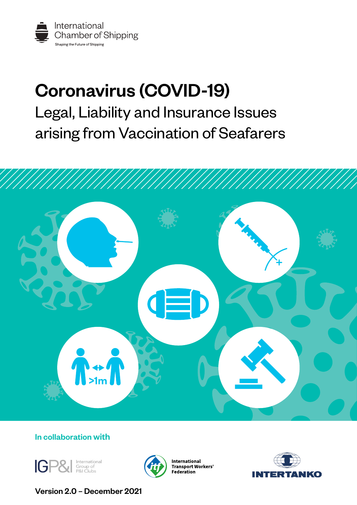

## Coronavirus (COVID-19) Legal, Liability and Insurance Issues arising from Vaccination of Seafarers



### In collaboration with





International **Transport Workers' Federation** 



Version 2.0 – December 2021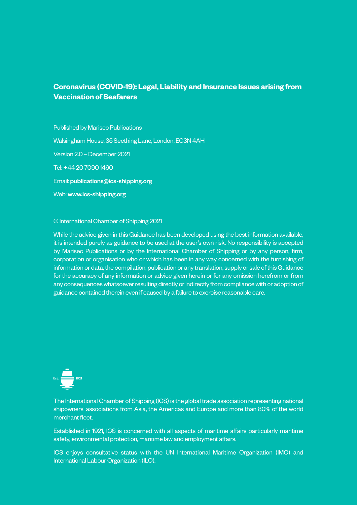#### **Coronavirus (COVID-19): Legal, Liability and Insurance Issues arising from Vaccination of Seafarers**

Published by Marisec Publications Walsingham House, 35 Seething Lane, London, EC3N 4AH Version 2.0 – December 2021 Tel: +44 20 7090 1460 Email: [publications@ics-shipping.org](mailto:publications%40ics-shipping.org?subject=) Web: [www.ics-shipping.org](http://www.ics-shipping.org)

#### © International Chamber of Shipping 2021

While the advice given in this Guidance has been developed using the best information available, it is intended purely as guidance to be used at the user's own risk. No responsibility is accepted by Marisec Publications or by the International Chamber of Shipping or by any person, firm, corporation or organisation who or which has been in any way concerned with the furnishing of information or data, the compilation, publication or any translation, supply or sale of this Guidance for the accuracy of any information or advice given herein or for any omission herefrom or from any consequences whatsoever resulting directly or indirectly from compliance with or adoption of guidance contained therein even if caused by a failure to exercise reasonable care.

The International Chamber of Shipping (ICS) is the global trade association representing national shipowners' associations from Asia, the Americas and Europe and more than 80% of the world merchant fleet.

Established in 1921, ICS is concerned with all aspects of maritime affairs particularly maritime safety, environmental protection, maritime law and employment affairs.

ICS enjoys consultative status with the UN International Maritime Organization (IMO) and International Labour Organization (ILO).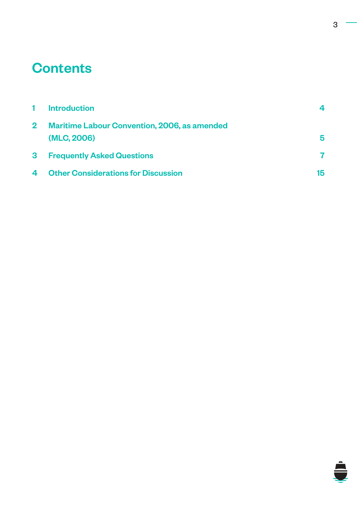## **Contents**

|            | <b>Introduction</b>                                                | 4  |
|------------|--------------------------------------------------------------------|----|
| $\bf{2}^-$ | <b>Maritime Labour Convention, 2006, as amended</b><br>(MLC, 2006) | 5  |
| 3.         | <b>Frequently Asked Questions</b>                                  |    |
| 4          | <b>Other Considerations for Discussion</b>                         | 15 |

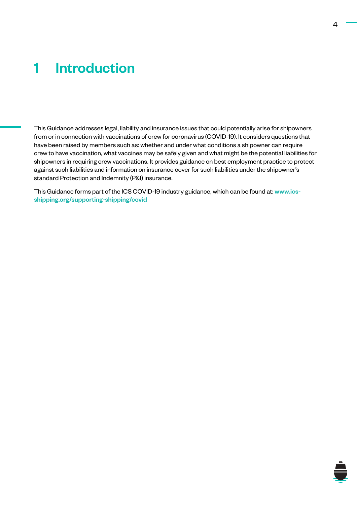## <span id="page-3-0"></span>1 Introduction

This Guidance addresses legal, liability and insurance issues that could potentially arise for shipowners from or in connection with vaccinations of crew for coronavirus (COVID-19). It considers questions that have been raised by members such as: whether and under what conditions a shipowner can require crew to have vaccination, what vaccines may be safely given and what might be the potential liabilities for shipowners in requiring crew vaccinations. It provides guidance on best employment practice to protect against such liabilities and information on insurance cover for such liabilities under the shipowner's standard Protection and Indemnity (P&I) insurance.

This Guidance forms part of the ICS COVID-19 industry guidance, which can be found at: [www.ics](https://www.ics-shipping.org/supporting-shipping/covid)[shipping.org/supporting-shipping/covid](https://www.ics-shipping.org/supporting-shipping/covid)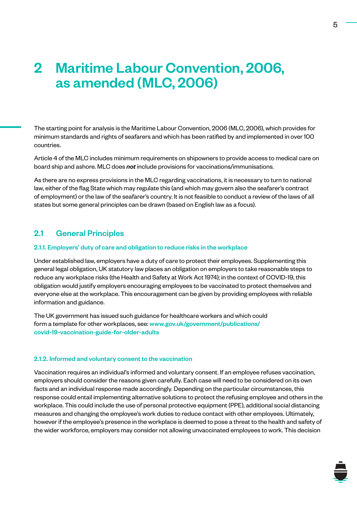# <span id="page-4-0"></span>2 Maritime Labour Convention, 2006, as amended (MLC, 2006)

The starting point for analysis is the Maritime Labour Convention, 2006 (MLC, 2006), which provides for minimum standards and rights of seafarers and which has been ratified by and implemented in over 100 countries.

Article 4 of the MLC includes minimum requirements on shipowners to provide access to medical care on board ship and ashore. MLC does *not* include provisions for vaccinations/immunisations.

As there are no express provisions in the MLC regarding vaccinations, it is necessary to turn to national law, either of the flag State which may regulate this (and which may govern also the seafarer's contract of employment) or the law of the seafarer's country. It is not feasible to conduct a review of the laws of all states but some general principles can be drawn (based on English law as a focus).

#### 2.1 General Principles

#### 2.1.1. Employers' duty of care and obligation to reduce risks in the workplace

Under established law, employers have a duty of care to protect their employees. Supplementing this general legal obligation, UK statutory law places an obligation on employers to take reasonable steps to reduce any workplace risks (the Health and Safety at Work Act 1974); in the context of COVID-19, this obligation would justify employers encouraging employees to be vaccinated to protect themselves and everyone else at the workplace. This encouragement can be given by providing employees with reliable information and guidance.

The UK government has issued such guidance for healthcare workers and which could form a template for other workplaces, see: [www.gov.uk/government/publications/](https://www.gov.uk/government/publications/covid-19-vaccination-guide-for-older-adults) [covid-19-vaccination-guide-for-older-adults](https://www.gov.uk/government/publications/covid-19-vaccination-guide-for-older-adults)

#### 2.1.2. Informed and voluntary consent to the vaccination

Vaccination requires an individual's informed and voluntary consent. If an employee refuses vaccination, employers should consider the reasons given carefully. Each case will need to be considered on its own facts and an individual response made accordingly. Depending on the particular circumstances, this response could entail implementing alternative solutions to protect the refusing employee and others in the workplace. This could include the use of personal protective equipment (PPE), additional social distancing measures and changing the employee's work duties to reduce contact with other employees. Ultimately, however if the employee's presence in the workplace is deemed to pose a threat to the health and safety of the wider workforce, employers may consider not allowing unvaccinated employees to work. This decision

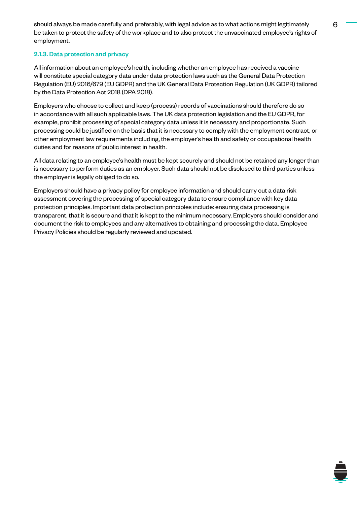should always be made carefully and preferably, with legal advice as to what actions might legitimately 6 be taken to protect the safety of the workplace and to also protect the unvaccinated employee's rights of employment.

#### 2.1.3. Data protection and privacy

All information about an employee's health, including whether an employee has received a vaccine will constitute special category data under data protection laws such as the General Data Protection Regulation (EU) 2016/679 (EU GDPR) and the UK General Data Protection Regulation (UK GDPR) tailored by the Data Protection Act 2018 (DPA 2018).

Employers who choose to collect and keep (process) records of vaccinations should therefore do so in accordance with all such applicable laws. The UK data protection legislation and the EU GDPR, for example, prohibit processing of special category data unless it is necessary and proportionate. Such processing could be justified on the basis that it is necessary to comply with the employment contract, or other employment law requirements including, the employer's health and safety or occupational health duties and for reasons of public interest in health.

All data relating to an employee's health must be kept securely and should not be retained any longer than is necessary to perform duties as an employer. Such data should not be disclosed to third parties unless the employer is legally obliged to do so.

Employers should have a privacy policy for employee information and should carry out a data risk assessment covering the processing of special category data to ensure compliance with key data protection principles. Important data protection principles include: ensuring data processing is transparent, that it is secure and that it is kept to the minimum necessary. Employers should consider and document the risk to employees and any alternatives to obtaining and processing the data. Employee Privacy Policies should be regularly reviewed and updated.

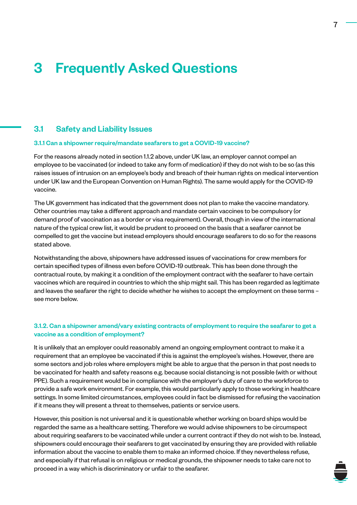## <span id="page-6-0"></span>3 Frequently Asked Questions

#### 3.1 Safety and Liability Issues

#### 3.1.1 Can a shipowner require/mandate seafarers to get a COVID-19 vaccine?

For the reasons already noted in section 1.1.2 above, under UK law, an employer cannot compel an employee to be vaccinated (or indeed to take any form of medication) if they do not wish to be so (as this raises issues of intrusion on an employee's body and breach of their human rights on medical intervention under UK law and the European Convention on Human Rights). The same would apply for the COVID-19 vaccine.

The UK government has indicated that the government does not plan to make the vaccine mandatory. Other countries may take a different approach and mandate certain vaccines to be compulsory (or demand proof of vaccination as a border or visa requirement). Overall, though in view of the international nature of the typical crew list, it would be prudent to proceed on the basis that a seafarer cannot be compelled to get the vaccine but instead employers should encourage seafarers to do so for the reasons stated above.

Notwithstanding the above, shipowners have addressed issues of vaccinations for crew members for certain specified types of illness even before COVID-19 outbreak. This has been done through the contractual route, by making it a condition of the employment contract with the seafarer to have certain vaccines which are required in countries to which the ship might sail. This has been regarded as legitimate and leaves the seafarer the right to decide whether he wishes to accept the employment on these terms – see more below.

#### 3.1.2. Can a shipowner amend/vary existing contracts of employment to require the seafarer to get a vaccine as a condition of employment?

It is unlikely that an employer could reasonably amend an ongoing employment contract to make it a requirement that an employee be vaccinated if this is against the employee's wishes. However, there are some sectors and job roles where employers might be able to argue that the person in that post needs to be vaccinated for health and safety reasons e.g. because social distancing is not possible (with or without PPE). Such a requirement would be in compliance with the employer's duty of care to the workforce to provide a safe work environment. For example, this would particularly apply to those working in healthcare settings. In some limited circumstances, employees could in fact be dismissed for refusing the vaccination if it means they will present a threat to themselves, patients or service users.

However, this position is not universal and it is questionable whether working on board ships would be regarded the same as a healthcare setting. Therefore we would advise shipowners to be circumspect about requiring seafarers to be vaccinated while under a current contract if they do not wish to be. Instead, shipowners could encourage their seafarers to get vaccinated by ensuring they are provided with reliable information about the vaccine to enable them to make an informed choice. If they nevertheless refuse, and especially if that refusal is on religious or medical grounds, the shipowner needs to take care not to proceed in a way which is discriminatory or unfair to the seafarer.

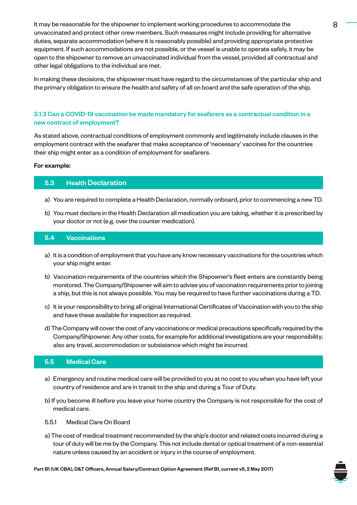It may be reasonable for the shipowner to implement working procedures to accommodate the 8 unvaccinated and protect other crew members. Such measures might include providing for alternative duties, separate accommodation (where it is reasonably possible) and providing appropriate protective equipment. If such accommodations are not possible, or the vessel is unable to operate safely, it may be open to the shipowner to remove an unvaccinated individual from the vessel, provided all contractual and other legal obligations to the individual are met.

In making these decisions, the shipowner must have regard to the circumstances of the particular ship and the primary obligation to ensure the health and safety of all on board and the safe operation of the ship.

#### 3.1.3 Can a COVID-19 vaccination be made mandatory for seafarers as a contractual condition in a new contract of employment?

As stated above, contractual conditions of employment commonly and legitimately include clauses in the employment contract with the seafarer that make acceptance of 'necessary' vaccines for the countries their ship might enter as a condition of employment for seafarers.

#### For example:

#### 5.3 Health Declaration

- a) You are required to complete a Health Declaration, normally onboard, prior to commencing a new TD.
- b) You must declare in the Health Declaration all medication you are taking, whether it is prescribed by your doctor or not (e.g. over the counter medication).

#### 5.4 Vaccinations

- a) It is a condition of employment that you have any know necessary vaccinations for the countries which your ship might enter.
- b) Vaccination requirements of the countries which the Shipowner's fleet enters are constantly being monitored. The Company/Shipowner will aim to advise you of vaccination requirements prior to joining a ship, but this is not always possible. You may be required to have further vaccinations during a TD.
- c) It is your responsibility to bring all original International Certificates of Vaccination with you to the ship and have these available for inspection as required.
- d) The Company will cover the cost of any vaccinations or medical precautions specifically required by the Company/Shipowner. Any other costs, for example for additional investigations are your responsibility; also any travel, accommodation or subsistence which might be incurred.

#### 5.5 Medical Care

- a) Emergency and routine medical care will be provided to you at no cost to you when you have left your country of residence and are in transit to the ship and during a Tour of Duty.
- b) If you become ill before you leave your home country the Company is not responsible for the cost of medical care.

#### 5.5.1 Medical Care On Board

a) The cost of medical treatment recommended by the ship's doctor and related costs incurred during a tour of duty will be me by the Company. This not include dental or optical treatment of a non-essential nature unless caused by an accident or injury in the course of employment.

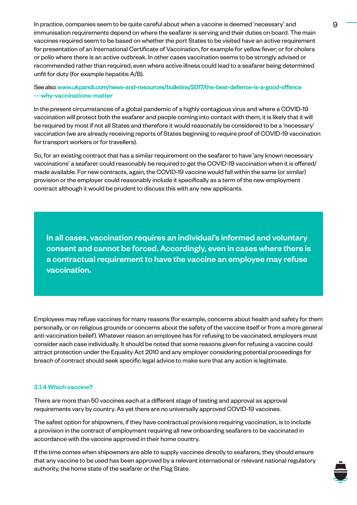In practice, companies seem to be quite careful about when a vaccine is deemed 'necessary' and 9 immunisation requirements depend on where the seafarer is serving and their duties on board. The main vaccines required seem to be based on whether the port States to be visited have an active requirement for presentation of an International Certificate of Vaccination, for example for yellow fever; or for cholera or polio where there is an active outbreak. In other cases vaccination seems to be strongly advised or recommended rather than required, even where active illness could lead to a seafarer being determined unfit for duty (for example hepatitis A/B).

#### See also: [www.ukpandi.com/news-and-resources/bulletins/2017/the-best-defence-is-a-good-offence](https://www.ukpandi.com/news-and-resources/bulletins/2017/the-best-defence-is-a-good-offence---why-vaccinations-matter/) [---why-vaccinations-matter](https://www.ukpandi.com/news-and-resources/bulletins/2017/the-best-defence-is-a-good-offence---why-vaccinations-matter/)

In the present circumstances of a global pandemic of a highly contagious virus and where a COVID-19 vaccination will protect both the seafarer and people coming into contact with them, it is likely that it will be required by most if not all States and therefore it would reasonably be considered to be a 'necessary' vaccination (we are already receiving reports of States beginning to require proof of COVID-19 vaccination for transport workers or for travellers).

So, for an existing contract that has a similar requirement on the seafarer to have 'any known necessary vaccinations' a seafarer could reasonably be required to get the COVID-19 vaccination when it is offered/ made available. For new contracts, again, the COVID-19 vaccine would fall within the same (or similar) provision or the employer could reasonably include it specifically as a term of the new employment contract although it would be prudent to discuss this with any new applicants.

In all cases, vaccination requires an individual's informed and voluntary consent and cannot be forced. Accordingly, even in cases where there is a contractual requirement to have the vaccine an employee may refuse vaccination.

Employees may refuse vaccines for many reasons (for example, concerns about health and safety for them personally, or on religious grounds or concerns about the safety of the vaccine itself or from a more general anti-vaccination belief). Whatever reason an employee has for refusing to be vaccinated, employers must consider each case individually. It should be noted that some reasons given for refusing a vaccine could attract protection under the Equality Act 2010 and any employer considering potential proceedings for breach of contract should seek specific legal advice to make sure that any action is legitimate.

#### 3.1.4 Which vaccine?

There are more than 50 vaccines each at a different stage of testing and approval as approval requirements vary by country. As yet there are no universally approved COVID-19 vaccines.

The safest option for shipowners, if they have contractual provisions requiring vaccination, is to include a provision in the contract of employment requiring all new onboarding seafarers to be vaccinated in accordance with the vaccine approved in their home country.

If the time comes when shipowners are able to supply vaccines directly to seafarers, they should ensure that any vaccine to be used has been approved by a relevant international or relevant national regulatory authority, the home state of the seafarer or the Flag State.

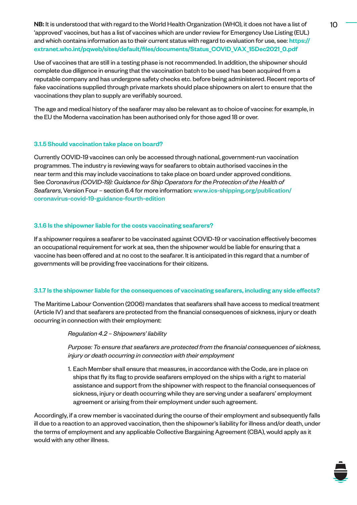NB: It is understood that with regard to the World Health Organization (WHO), it does not have a list of  $10$ 'approved' vaccines, but has a list of vaccines which are under review for Emergency Use Listing (EUL) and which contains information as to their current status with regard to evaluation for use, see: [https://](https://extranet.who.int/pqweb/sites/default/files/documents/Status_COVID_VAX_15Dec2021_0.pdf) [extranet.who.int/pqweb/sites/default/files/documents/Status\\_COVID\\_VAX\\_15Dec2021\\_0.pdf](https://extranet.who.int/pqweb/sites/default/files/documents/Status_COVID_VAX_15Dec2021_0.pdf)

Use of vaccines that are still in a testing phase is not recommended. In addition, the shipowner should complete due diligence in ensuring that the vaccination batch to be used has been acquired from a reputable company and has undergone safety checks etc. before being administered. Recent reports of fake vaccinations supplied through private markets should place shipowners on alert to ensure that the vaccinations they plan to supply are verifiably sourced.

The age and medical history of the seafarer may also be relevant as to choice of vaccine: for example, in the EU the Moderna vaccination has been authorised only for those aged 18 or over.

#### 3.1.5 Should vaccination take place on board?

Currently COVID-19 vaccines can only be accessed through national, government-run vaccination programmes. The industry is reviewing ways for seafarers to obtain authorised vaccines in the near term and this may include vaccinations to take place on board under approved conditions. See *Coronavirus (COVID-19): Guidance for Ship Operators for the Protection of the Health of Seafarers*, Version Four – section 6.4 for more information: [www.ics-shipping.org/publication/](https://www.ics-shipping.org/publication/coronavirus-covid-19-guidance-fourth-edition/) [coronavirus-covid-19-guidance-fourth-edition](https://www.ics-shipping.org/publication/coronavirus-covid-19-guidance-fourth-edition/)

#### 3.1.6 Is the shipowner liable for the costs vaccinating seafarers?

If a shipowner requires a seafarer to be vaccinated against COVID-19 or vaccination effectively becomes an occupational requirement for work at sea, then the shipowner would be liable for ensuring that a vaccine has been offered and at no cost to the seafarer. It is anticipated in this regard that a number of governments will be providing free vaccinations for their citizens.

#### 3.1.7 Is the shipowner liable for the consequences of vaccinating seafarers, including any side effects?

The Maritime Labour Convention (2006) mandates that seafarers shall have access to medical treatment (Article IV) and that seafarers are protected from the financial consequences of sickness, injury or death occurring in connection with their employment:

#### *Regulation 4.2 – Shipowners' liability*

*Purpose: To ensure that seafarers are protected from the financial consequences of sickness, injury or death occurring in connection with their employment*

1. Each Member shall ensure that measures, in accordance with the Code, are in place on ships that fly its flag to provide seafarers employed on the ships with a right to material assistance and support from the shipowner with respect to the financial consequences of sickness, injury or death occurring while they are serving under a seafarers' employment agreement or arising from their employment under such agreement.

Accordingly, if a crew member is vaccinated during the course of their employment and subsequently falls ill due to a reaction to an approved vaccination, then the shipowner's liability for illness and/or death, under the terms of employment and any applicable Collective Bargaining Agreement (CBA), would apply as it would with any other illness.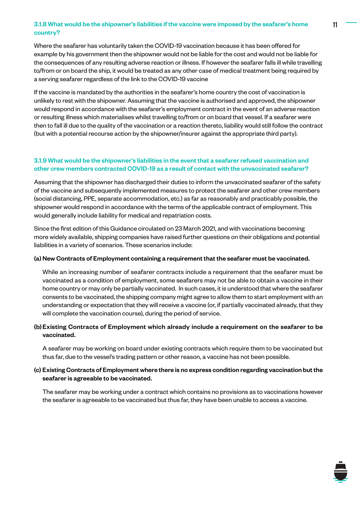#### 3.1.8 What would be the shipowner's liabilities if the vaccine were imposed by the seafarer's home 11 country?

Where the seafarer has voluntarily taken the COVID-19 vaccination because it has been offered for example by his government then the shipowner would not be liable for the cost and would not be liable for the consequences of any resulting adverse reaction or illness. If however the seafarer falls ill while travelling to/from or on board the ship, it would be treated as any other case of medical treatment being required by a serving seafarer regardless of the link to the COVID-19 vaccine

If the vaccine is mandated by the authorities in the seafarer's home country the cost of vaccination is unlikely to rest with the shipowner. Assuming that the vaccine is authorised and approved, the shipowner would respond in accordance with the seafarer's employment contract in the event of an adverse reaction or resulting illness which materialises whilst travelling to/from or on board that vessel. If a seafarer were then to fall ill due to the quality of the vaccination or a reaction thereto, liability would still follow the contract (but with a potential recourse action by the shipowner/insurer against the appropriate third party).

#### 3.1.9 What would be the shipowner's liabilities in the event that a seafarer refused vaccination and other crew members contracted COVID-19 as a result of contact with the unvaccinated seafarer?

Assuming that the shipowner has discharged their duties to inform the unvaccinated seafarer of the safety of the vaccine and subsequently implemented measures to protect the seafarer and other crew members (social distancing, PPE, separate accommodation, etc.) as far as reasonably and practicably possible, the shipowner would respond in accordance with the terms of the applicable contract of employment. This would generally include liability for medical and repatriation costs.

Since the first edition of this Guidance circulated on 23 March 2021, and with vaccinations becoming more widely available, shipping companies have raised further questions on their obligations and potential liabilities in a variety of scenarios. These scenarios include:

#### (a) New Contracts of Employment containing a requirement that the seafarer must be vaccinated.

While an increasing number of seafarer contracts include a requirement that the seafarer must be vaccinated as a condition of employment, some seafarers may not be able to obtain a vaccine in their home country or may only be partially vaccinated. In such cases, it is understood that where the seafarer consents to be vaccinated, the shipping company might agree to allow them to start employment with an understanding or expectation that they will receive a vaccine (or, if partially vaccinated already, that they will complete the vaccination course), during the period of service.

#### (b)Existing Contracts of Employment which already include a requirement on the seafarer to be vaccinated.

A seafarer may be working on board under existing contracts which require them to be vaccinated but thus far, due to the vessel's trading pattern or other reason, a vaccine has not been possible.

#### (c) Existing Contracts of Employment where there is no express condition regarding vaccination but the seafarer is agreeable to be vaccinated.

The seafarer may be working under a contract which contains no provisions as to vaccinations however the seafarer is agreeable to be vaccinated but thus far, they have been unable to access a vaccine.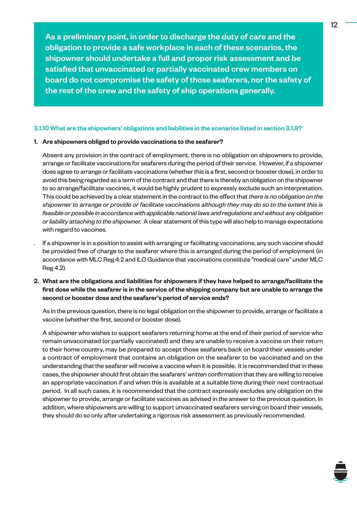As a preliminary point, in order to discharge the duty of care and the obligation to provide a safe workplace in each of these scenarios, the shipowner should undertake a full and proper risk assessment and be satisfied that unvaccinated or partially vaccinated crew members on board do not compromise the safety of those seafarers, nor the safety of the rest of the crew and the safety of ship operations generally.

#### 3.1.10 What are the shipowners' obligations and liabilities in the scenarios listed in section 3.1.9?

#### 1. Are shipowners obliged to provide vaccinations to the seafarer?

Absent any provision in the contract of employment, there is no obligation on shipowners to provide, arrange or facilitate vaccinations for seafarers during the period of their service. However, if a shipowner does agree to arrange or facilitate vaccinations (whether this is a first, second or booster dose), in order to avoid this being regarded as a term of the contract and that there is thereby an obligation on the shipowner to so arrange/facilitate vaccines, it would be highly prudent to expressly exclude such an interpretation. This could be achieved by a clear statement in the contract to the effect that *there is no obligation on the shipowner to arrange or provide or facilitate vaccinations although they may do so to the extent this is feasible or possible in accordance with applicable national laws and regulations and without any obligation or liability attaching to the shipowner.* A clear statement of this type will also help to manage expectations with regard to vaccines.

- . If a shipowner is in a position to assist with arranging or facilitating vaccinations, any such vaccine should be provided free of charge to the seafarer where this is arranged during the period of employment (in accordance with MLC Reg 4.2 and ILO Guidance that vaccinations constitute "medical care" under MLC Reg 4.2).
- 2. What are the obligations and liabilities for shipowners if they have helped to arrange/facilitate the first dose while the seafarer is in the service of the shipping company but are unable to arrange the second or booster dose and the seafarer's period of service ends?

As in the previous question, there is no legal obligation on the shipowner to provide, arrange or facilitate a vaccine (whether the first, second or booster dose).

A shipowner who wishes to support seafarers returning home at the end of their period of service who remain unvaccinated (or partially vaccinated) and they are unable to receive a vaccine on their return to their home country, may be prepared to accept those seafarers back on board their vessels under a contract of employment that contains an obligation on the seafarer to be vaccinated and on the understanding that the seafarer will receive a vaccine when it is possible. It is recommended that in these cases, the shipowner should first obtain the seafarers' *written* confirmation that they are willing to receive an appropriate vaccination if and when this is available at a suitable time during their next contractual period. In all such cases, it is recommended that the contract expressly excludes any obligation on the shipowner to provide, arrange or facilitate vaccines as advised in the answer to the previous question. In addition, where shipowners are willing to support unvaccinated seafarers serving on board their vessels, they should do so only after undertaking a rigorous risk assessment as previously recommended.

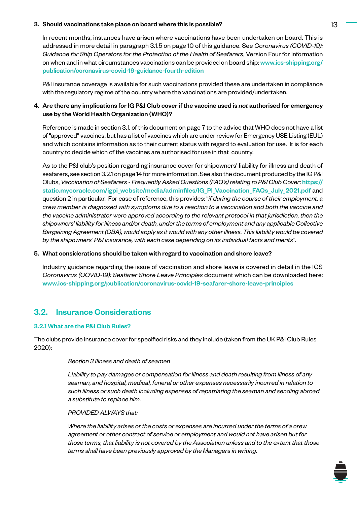#### 3. Should vaccinations take place on board where this is possible? 13

In recent months, instances have arisen where vaccinations have been undertaken on board. This is addressed in more detail in paragraph 3.1.5 on page 10 of this guidance. See *Coronavirus (COVID-19): Guidance for Ship Operators for the Protection of the Health of Seafarers*, Version Four for information on when and in what circumstances vaccinations can be provided on board ship: [www.ics-shipping.org/](https://www.ics-shipping.org/publication/coronavirus-covid-19-guidance-fourth-edition/) [publication/coronavirus-covid-19-guidance-fourth-edition](https://www.ics-shipping.org/publication/coronavirus-covid-19-guidance-fourth-edition/)

P&I insurance coverage is available for such vaccinations provided these are undertaken in compliance with the regulatory regime of the country where the vaccinations are provided/undertaken.

#### 4. Are there any implications for IG P&I Club cover if the vaccine used is *not* authorised for emergency use by the World Health Organization (WHO)?

Reference is made in section 3.1. of this document on page 7 to the advice that WHO does not have a list of "approved" vaccines, but has a list of vaccines which are under review for Emergency USE Listing (EUL) and which contains information as to their current status with regard to evaluation for use. It is for each country to decide which of the vaccines are authorised for use in that country.

As to the P&I club's position regarding insurance cover for shipowners' liability for illness and death of seafarers, see section 3.2.1 on page 14 for more information. See also the document produced by the IG P&I Clubs, *Vaccination of Seafarers - Frequently Asked Questions (FAQ's) relating to P&I Club Cover*: [https://](https://static.mycoracle.com/igpi_website/media/adminfiles/IG_PI_Vaccination_FAQs_July_2021.pdf) [static.mycoracle.com/igpi\\_website/media/adminfiles/IG\\_PI\\_Vaccination\\_FAQs\\_July\\_2021.pdf](https://static.mycoracle.com/igpi_website/media/adminfiles/IG_PI_Vaccination_FAQs_July_2021.pdf) and question 2 in particular. For ease of reference, this provides: "*if during the course of their employment, a crew member is diagnosed with symptoms due to a reaction to a vaccination and both the vaccine and the vaccine administrator were approved according to the relevant protocol in that jurisdiction, then the shipowners' liability for illness and/or death, under the terms of employment and any applicable Collective Bargaining Agreement (CBA), would apply as it would with any other illness. This liability would be covered by the shipowners' P&I insurance, with each case depending on its individual facts and merits*".

#### 5. What considerations should be taken with regard to vaccination and shore leave?

Industry guidance regarding the issue of vaccination and shore leave is covered in detail in the ICS *Coronavirus (COVID-19): Seafarer Shore Leave Principles* document which can be downloaded here: [www.ics-shipping.org/publication/coronavirus-covid-19-seafarer-shore-leave-principles](https://www.ics-shipping.org/publication/coronavirus-covid-19-seafarer-shore-leave-principles/)

#### 3.2. Insurance Considerations

#### 3.2.1 What are the P&I Club Rules?

The clubs provide insurance cover for specified risks and they include (taken from the UK P&I Club Rules 2020):

#### *Section 3 Illness and death of seamen*

*Liability to pay damages or compensation for illness and death resulting from illness of any seaman, and hospital, medical, funeral or other expenses necessarily incurred in relation to such illness or such death including expenses of repatriating the seaman and sending abroad a substitute to replace him.* 

#### *PROVIDED ALWAYS that:*

*Where the liability arises or the costs or expenses are incurred under the terms of a crew agreement or other contract of service or employment and would not have arisen but for those terms, that liability is not covered by the Association unless and to the extent that those terms shall have been previously approved by the Managers in writing.*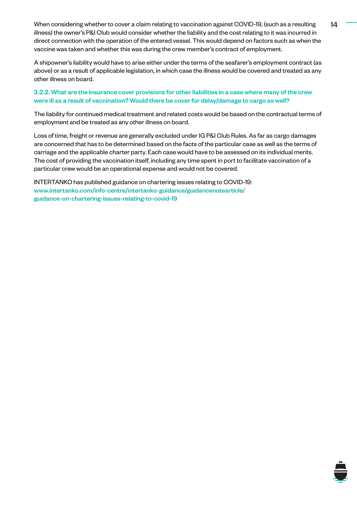When considering whether to cover a claim relating to vaccination against COVID-19, (such as a resulting 14 illness) the owner's P&I Club would consider whether the liability and the cost relating to it was incurred in direct connection with the operation of the entered vessel. This would depend on factors such as when the vaccine was taken and whether this was during the crew member's contract of employment.

A shipowner's liability would have to arise either under the terms of the seafarer's employment contract (as above) or as a result of applicable legislation, in which case the illness would be covered and treated as any other illness on board.

#### 3.2.2. What are the insurance cover provisions for other liabilities in a case where many of the crew were ill as a result of vaccination? Would there be cover for delay/damage to cargo as well?

The liability for continued medical treatment and related costs would be based on the contractual terms of employment and be treated as any other illness on board.

Loss of time, freight or revenue are generally excluded under IG P&I Club Rules. As far as cargo damages are concerned that has to be determined based on the facts of the particular case as well as the terms of carriage and the applicable charter party. Each case would have to be assessed on its individual merits. The cost of providing the vaccination itself, including any time spent in port to facilitate vaccination of a particular crew would be an operational expense and would not be covered.

INTERTANKO has published guidance on chartering issues relating to COVID-19: www.intertanko.com/info-centre/intertanko-guidance/guidancenotearticle/ [guidance-on-chartering-issues-relating-to-covid-19](https://www.intertanko.com/info-centre/intertanko-guidance/guidancenotearticle/guidance-on-chartering-issues-relating-to-covid-19)

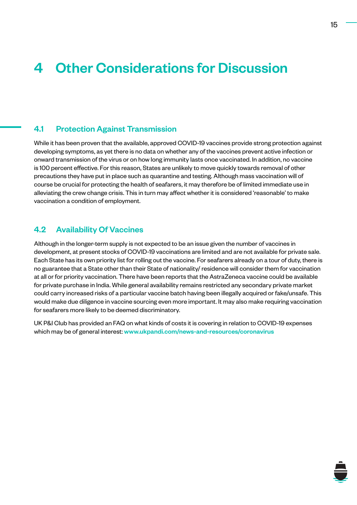## <span id="page-14-0"></span>4 Other Considerations for Discussion

#### 4.1 Protection Against Transmission

While it has been proven that the available, approved COVID-19 vaccines provide strong protection against developing symptoms, as yet there is no data on whether any of the vaccines prevent active infection or onward transmission of the virus or on how long immunity lasts once vaccinated. In addition, no vaccine is 100 percent effective. For this reason, States are unlikely to move quickly towards removal of other precautions they have put in place such as quarantine and testing. Although mass vaccination will of course be crucial for protecting the health of seafarers, it may therefore be of limited immediate use in alleviating the crew change crisis. This in turn may affect whether it is considered 'reasonable' to make vaccination a condition of employment.

#### 4.2 Availability Of Vaccines

Although in the longer-term supply is not expected to be an issue given the number of vaccines in development, at present stocks of COVID-19 vaccinations are limited and are not available for private sale. Each State has its own priority list for rolling out the vaccine. For seafarers already on a tour of duty, there is no guarantee that a State other than their State of nationality/ residence will consider them for vaccination at all or for priority vaccination. There have been reports that the AstraZeneca vaccine could be available for private purchase in India. While general availability remains restricted any secondary private market could carry increased risks of a particular vaccine batch having been illegally acquired or fake/unsafe. This would make due diligence in vaccine sourcing even more important. It may also make requiring vaccination for seafarers more likely to be deemed discriminatory.

UK P&I Club has provided an FAQ on what kinds of costs it is covering in relation to COVID-19 expenses which may be of general interest: [www.ukpandi.com/news-and-resources/coronavirus](https://www.ukpandi.com/news-and-resources/coronavirus/)